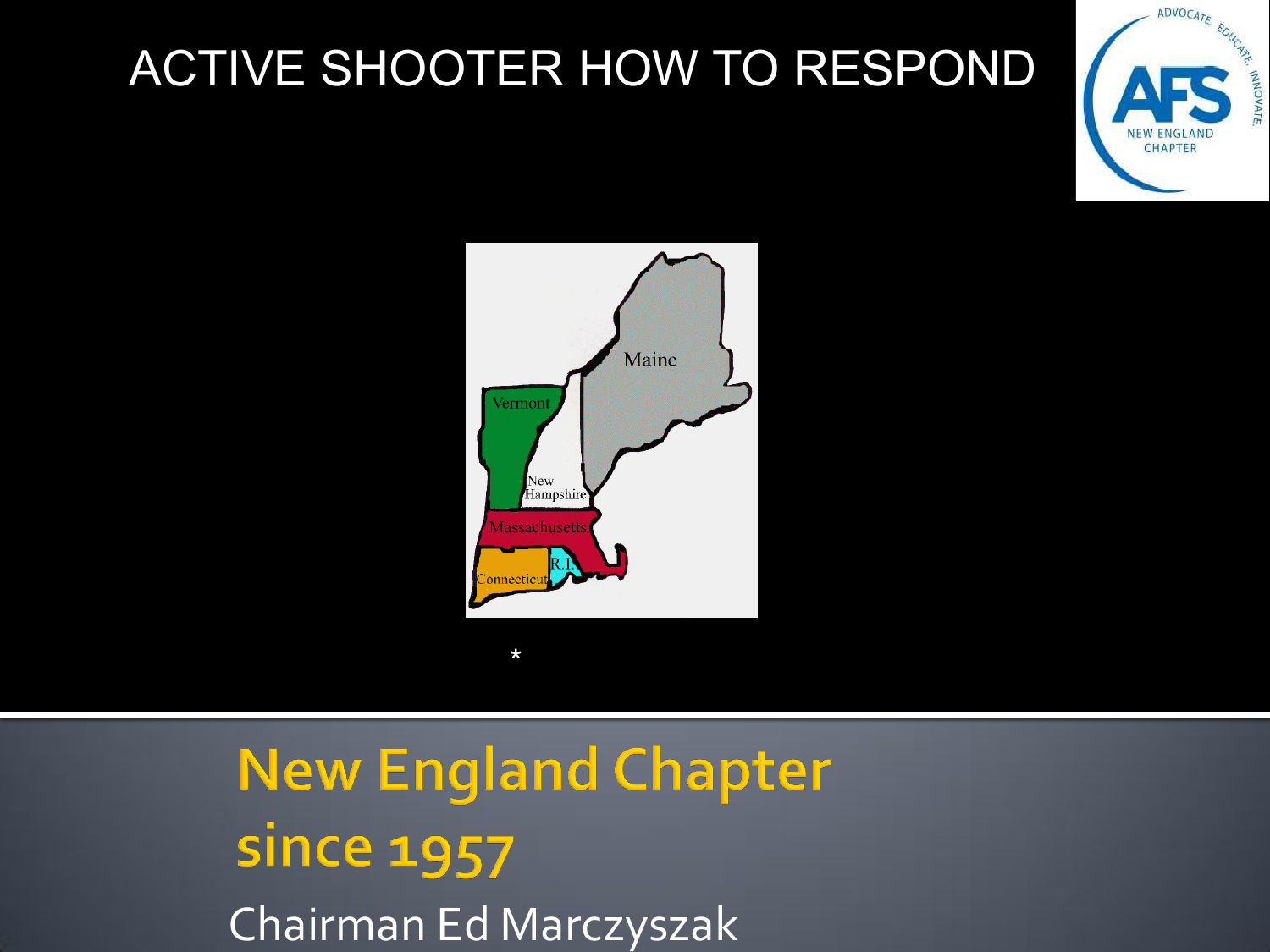



**New England Chapter** since 1957 Chairman Ed Marczyszak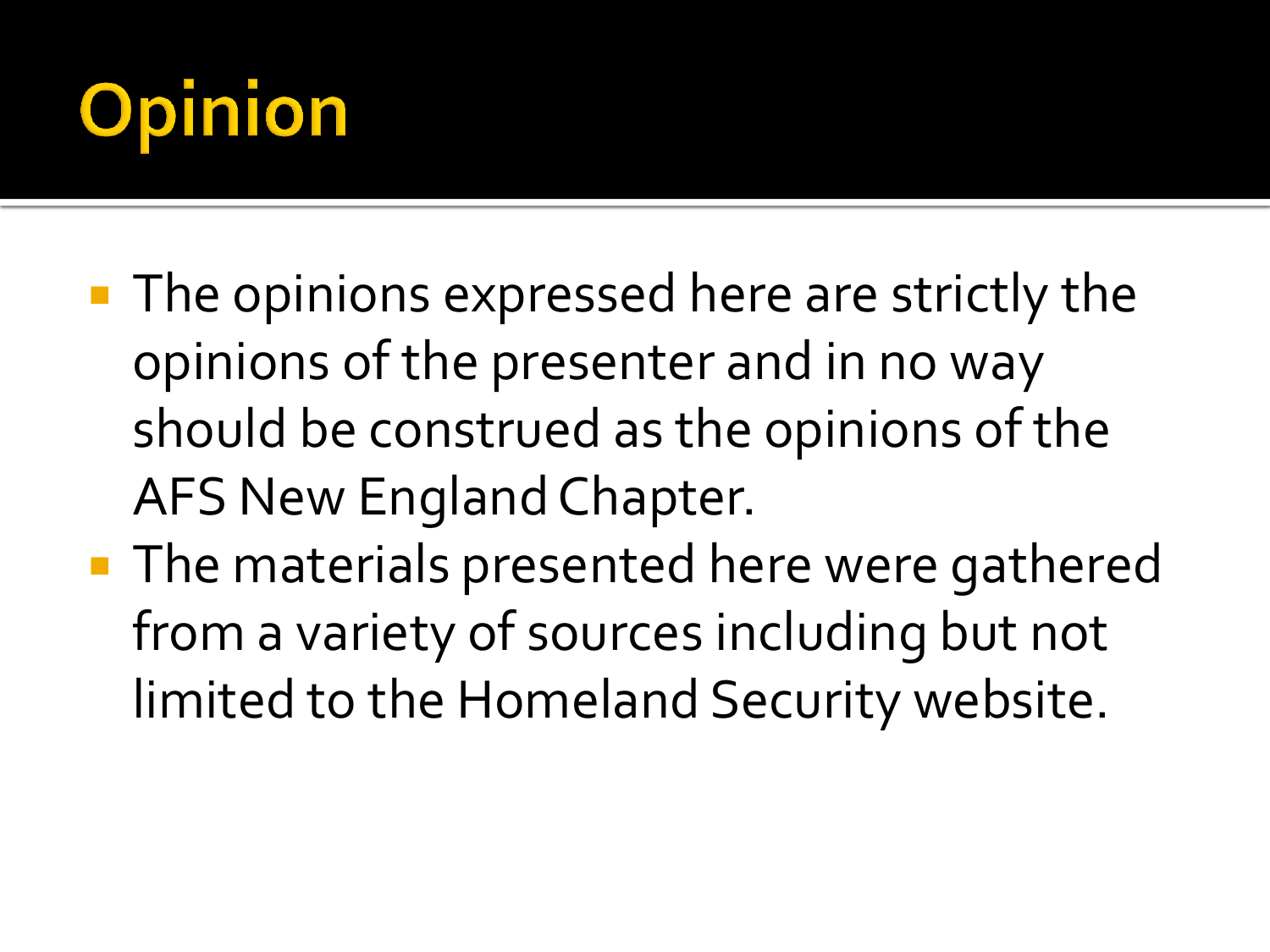

- **The opinions expressed here are strictly the** opinions of the presenter and in no way should be construed as the opinions of the AFS New England Chapter.
- **The materials presented here were gathered** from a variety of sources including but not limited to the Homeland Security website.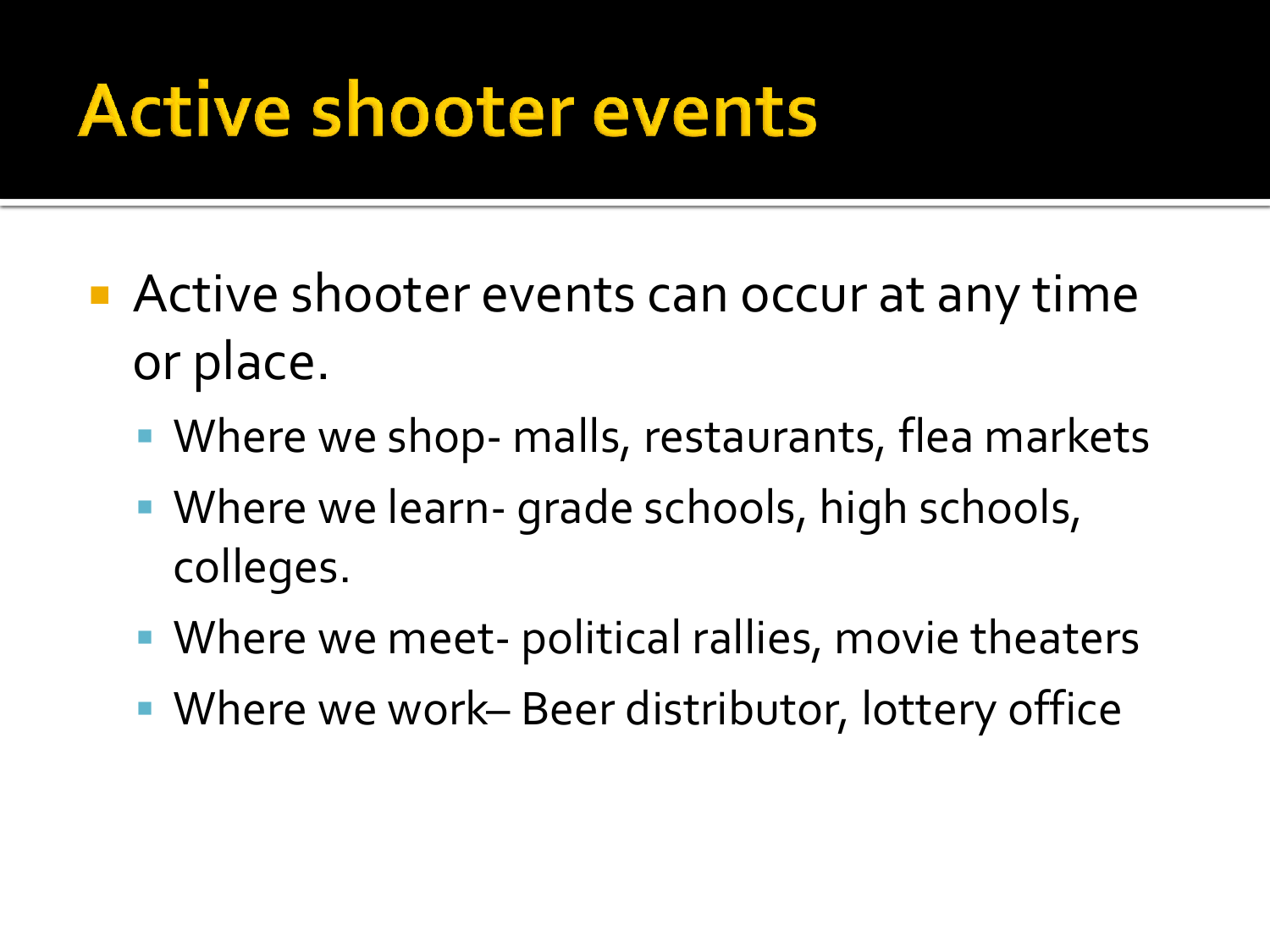# **Active shooter events**

- **Active shooter events can occur at any time** or place.
	- Where we shop- malls, restaurants, flea markets
	- Where we learn- grade schools, high schools, colleges.
	- **Where we meet- political rallies, movie theaters**
	- Where we work– Beer distributor, lottery office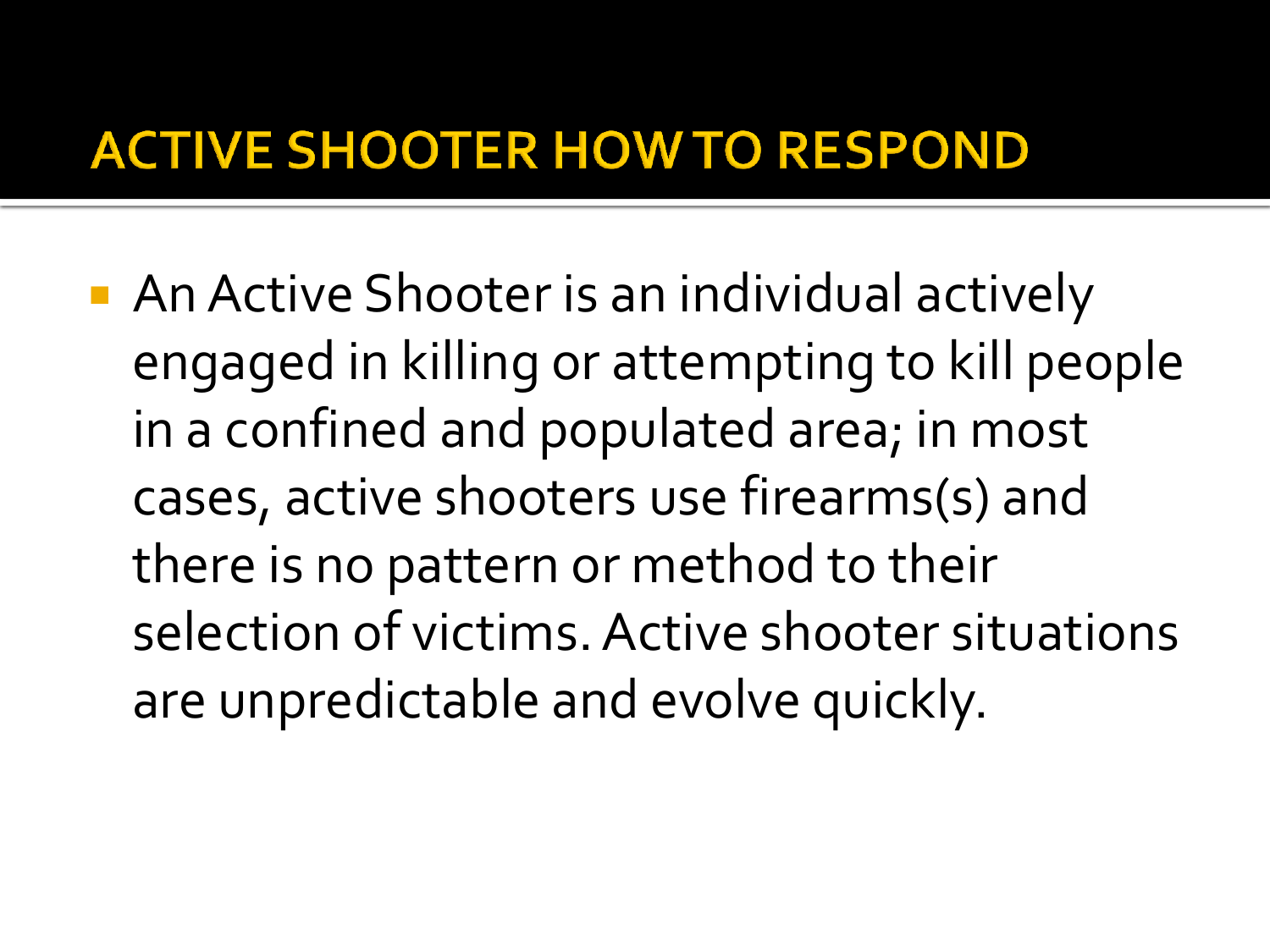■ An Active Shooter is an individual actively engaged in killing or attempting to kill people in a confined and populated area; in most cases, active shooters use firearms(s) and there is no pattern or method to their selection of victims. Active shooter situations are unpredictable and evolve quickly.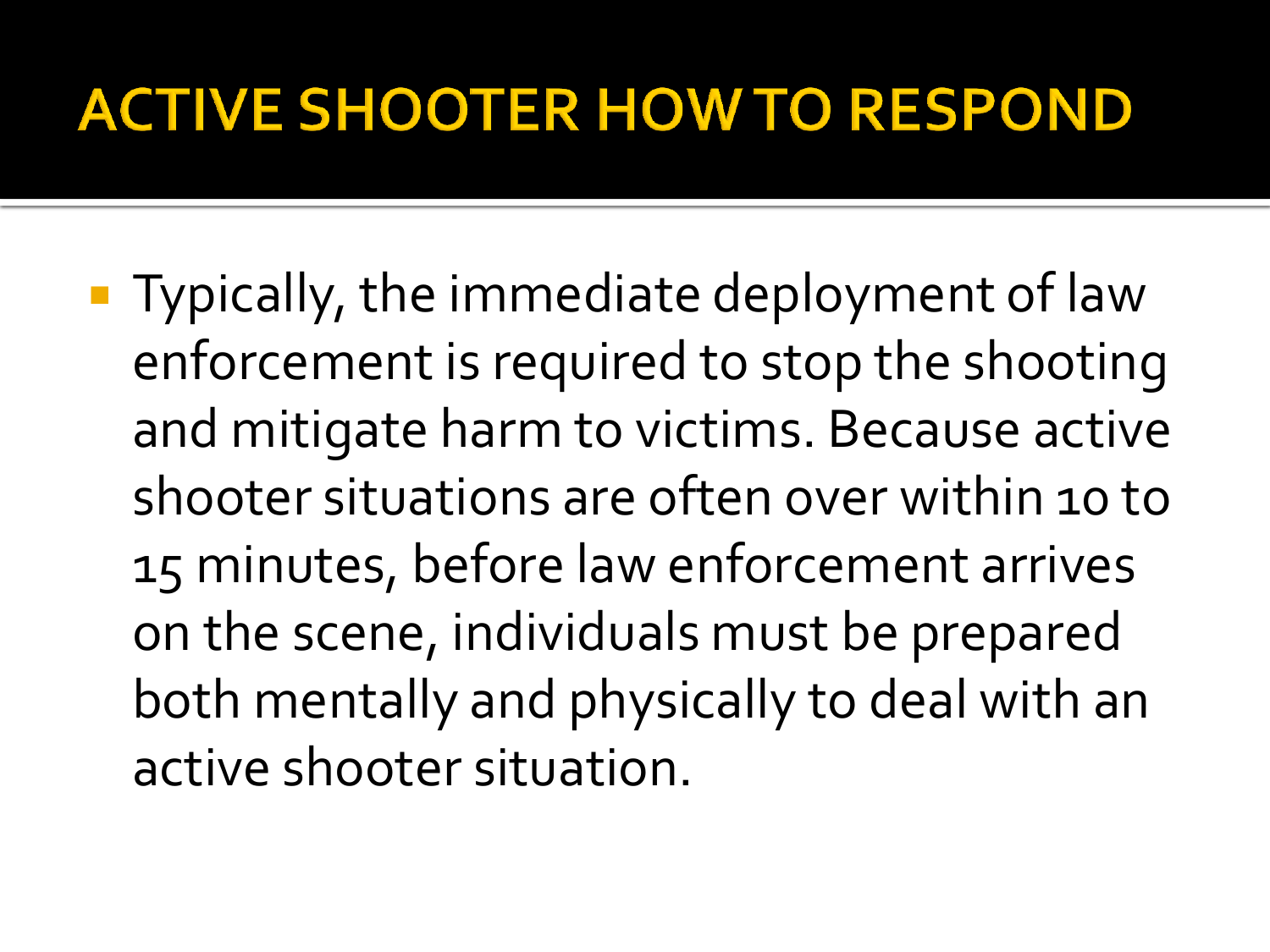**Typically, the immediate deployment of law** enforcement is required to stop the shooting and mitigate harm to victims. Because active shooter situations are often over within 10 to 15 minutes, before law enforcement arrives on the scene, individuals must be prepared both mentally and physically to deal with an active shooter situation.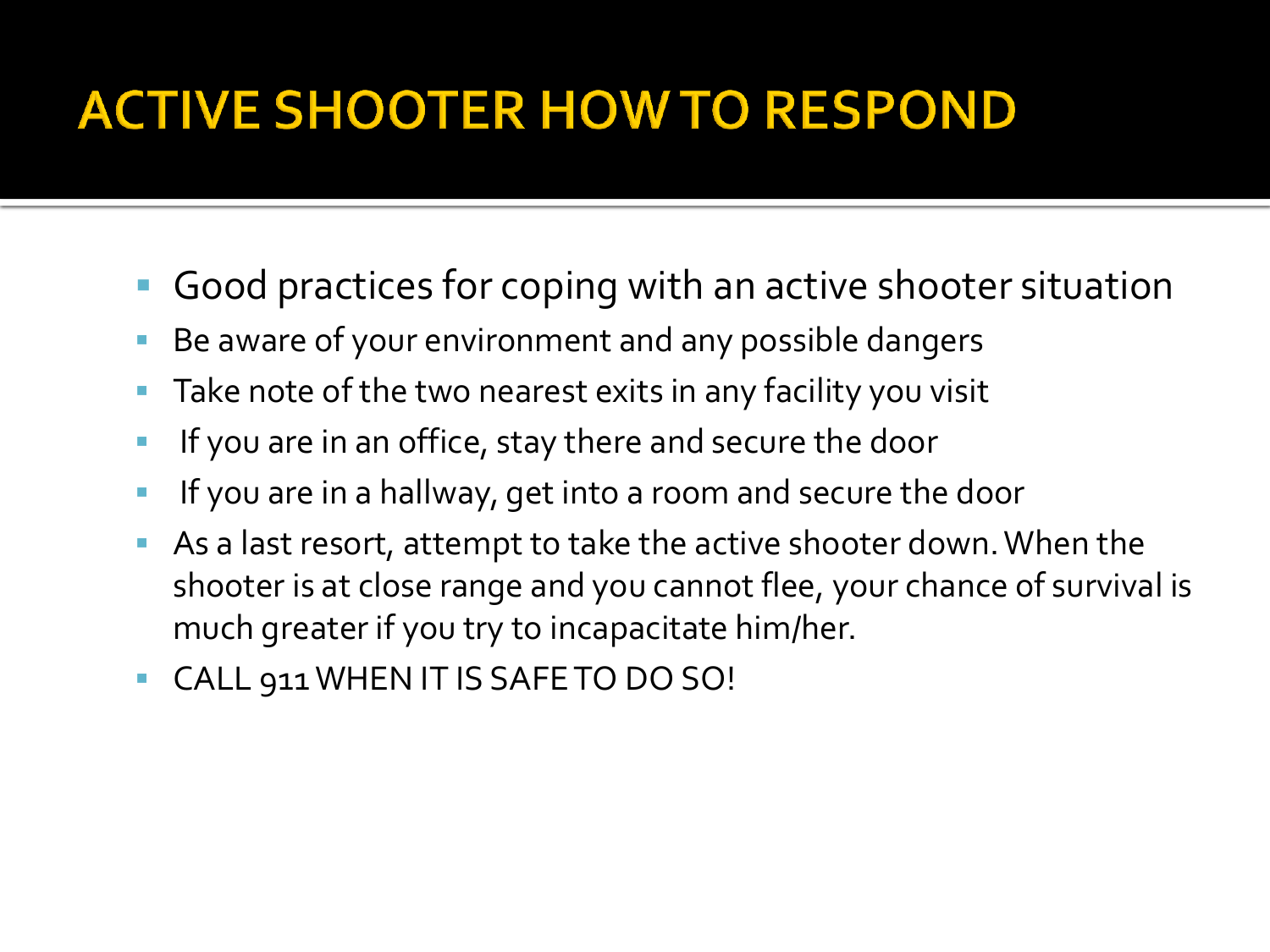- Good practices for coping with an active shooter situation
- Be aware of your environment and any possible dangers
- Take note of the two nearest exits in any facility you visit
- **If you are in an office, stay there and secure the door**
- If you are in a hallway, get into a room and secure the door
- As a last resort, attempt to take the active shooter down. When the shooter is at close range and you cannot flee, your chance of survival is much greater if you try to incapacitate him/her.
- CALL 911 WHEN IT IS SAFE TO DO SO!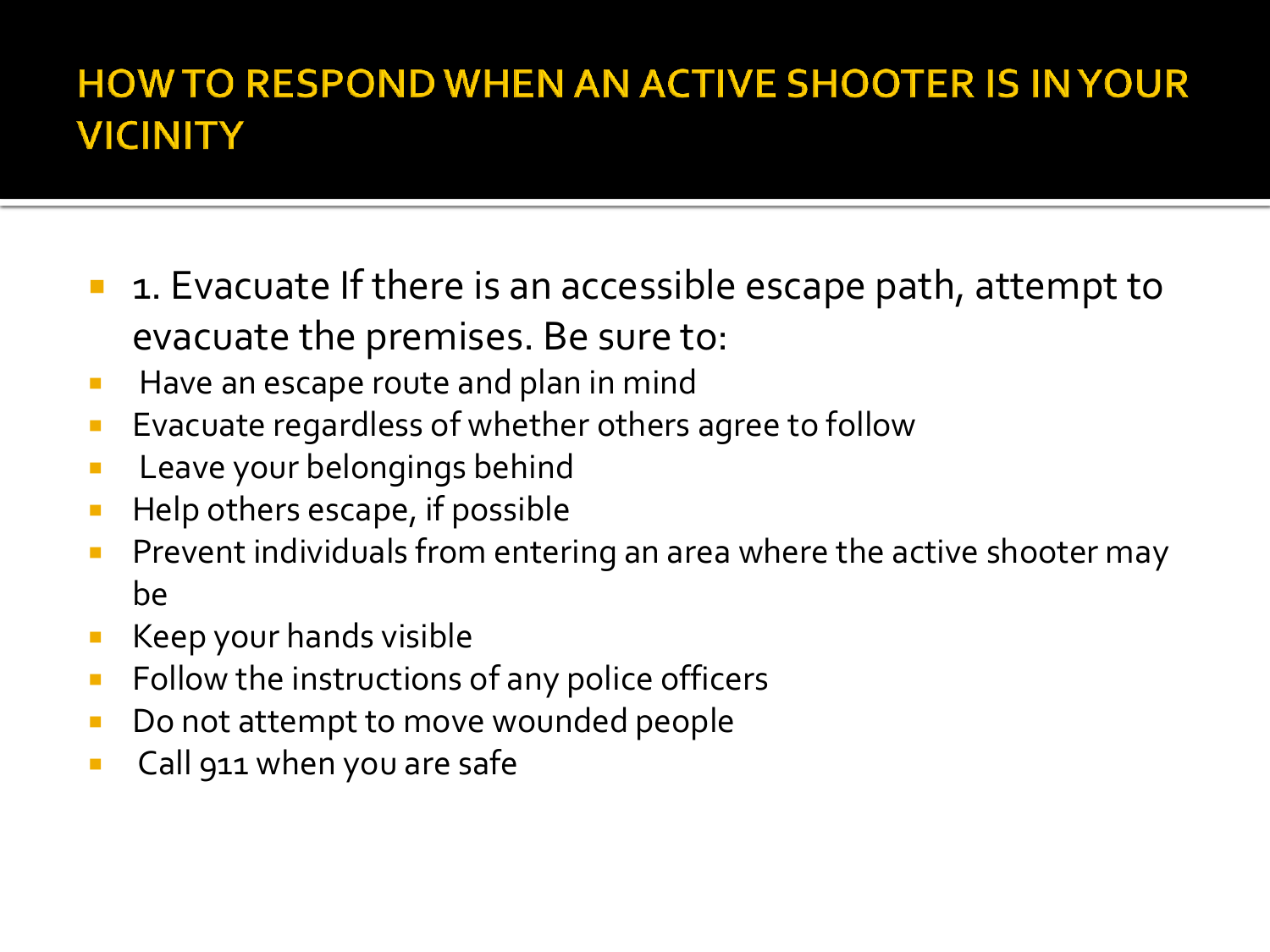- 1. Evacuate If there is an accessible escape path, attempt to evacuate the premises. Be sure to:
- **Have an escape route and plan in mind**
- **EVACUATE regardless of whether others agree to follow**
- **Leave your belongings behind**
- **Help others escape, if possible**
- **Prevent individuals from entering an area where the active shooter may** be
- Keep your hands visible
- $\blacksquare$  Follow the instructions of any police officers
- Do not attempt to move wounded people
- **Call 911 when you are safe**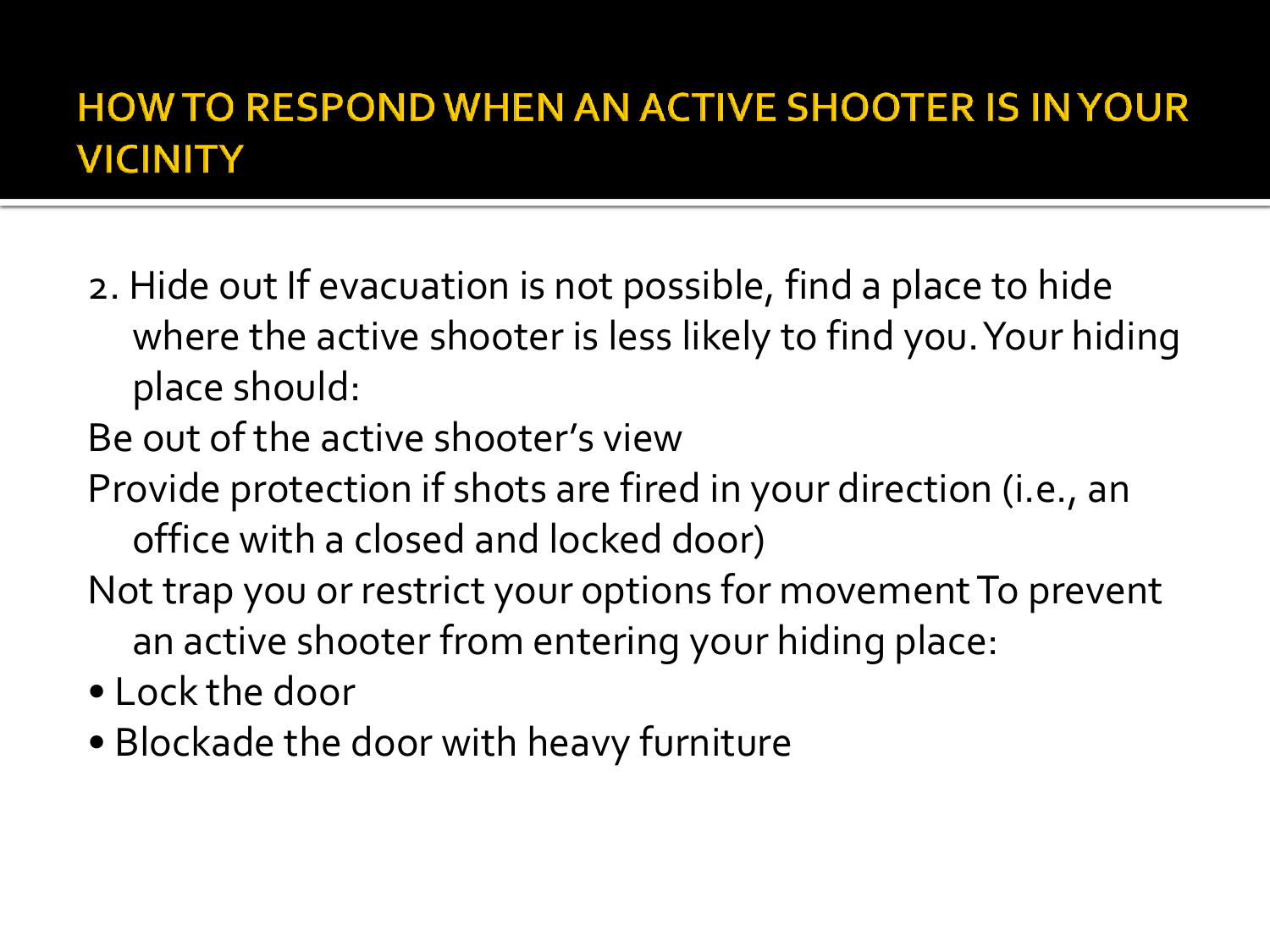- 2. Hide out If evacuation is not possible, find a place to hide where the active shooter is less likely to find you. Your hiding place should:
- Be out of the active shooter's view
- Provide protection if shots are fired in your direction (i.e., an office with a closed and locked door)
- Not trap you or restrict your options for movement To prevent an active shooter from entering your hiding place:
- Lock the door
- Blockade the door with heavy furniture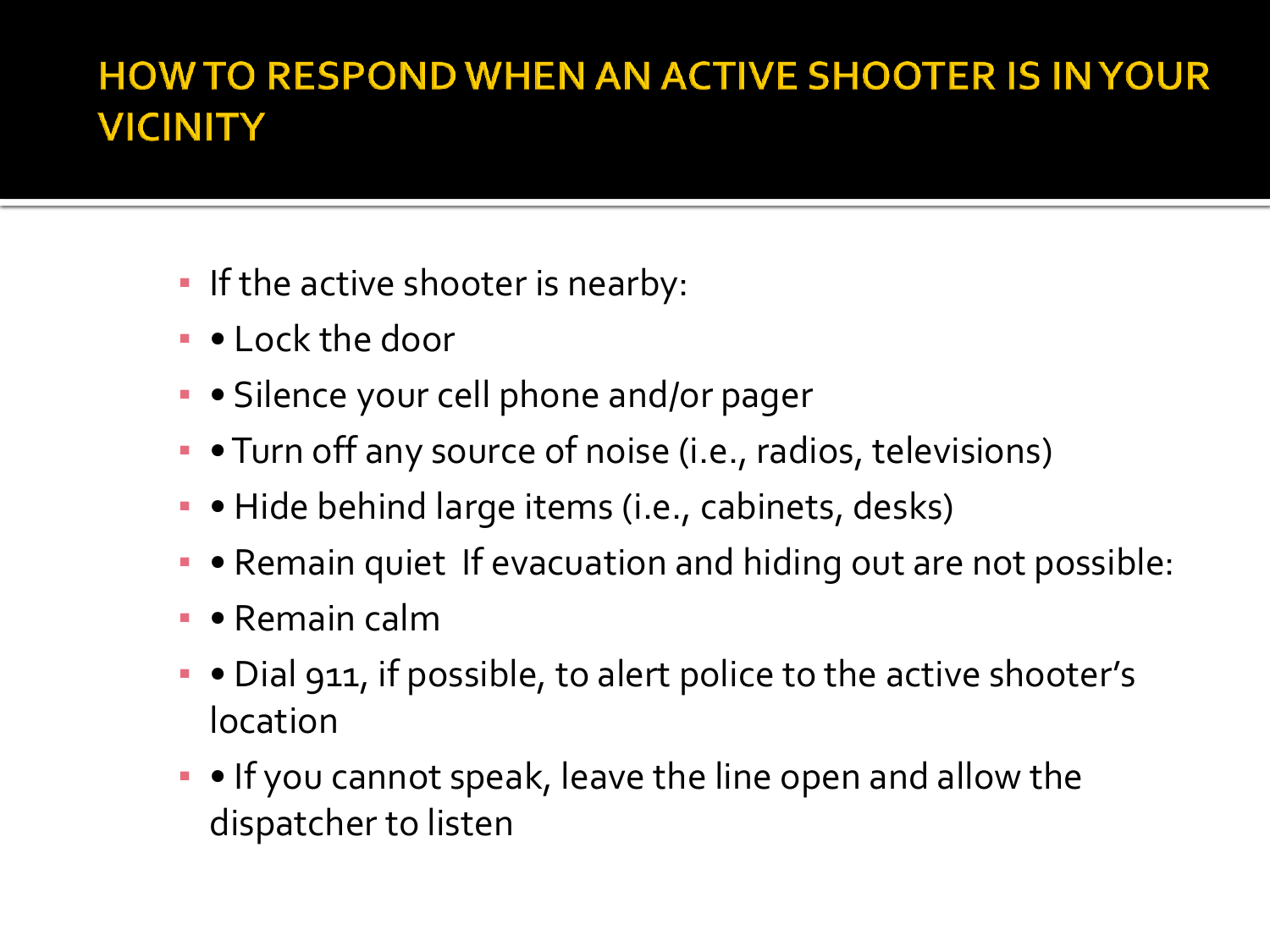- **•** If the active shooter is nearby:
- • Lock the door
- • Silence your cell phone and/or pager
- **• Turn off any source of noise (i.e., radios, televisions)**
- **.** Hide behind large items (i.e., cabinets, desks)
- • Remain quiet If evacuation and hiding out are not possible:
- • Remain calm
- • Dial 911, if possible, to alert police to the active shooter's location
- • If you cannot speak, leave the line open and allow the dispatcher to listen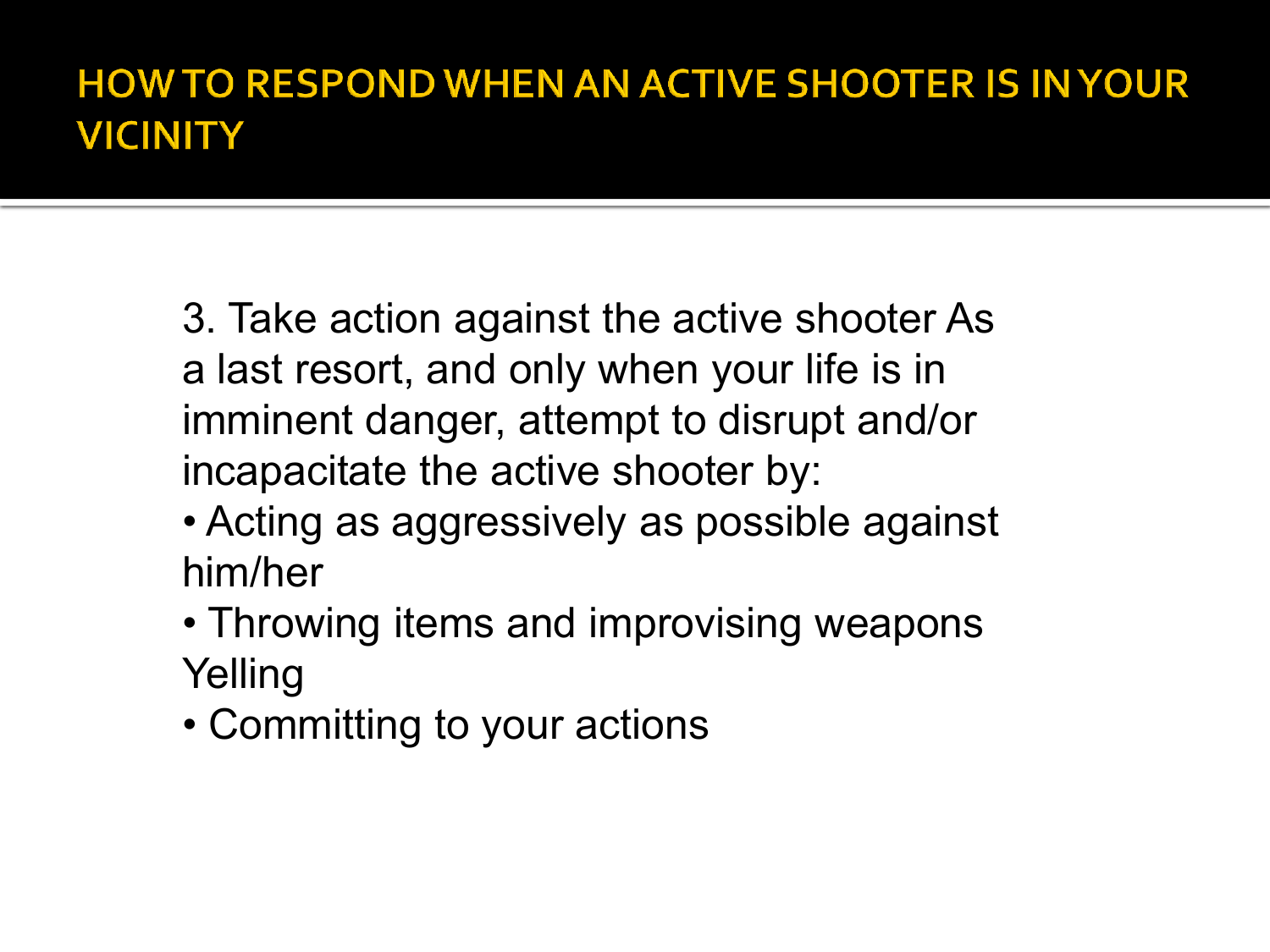3. Take action against the active shooter As a last resort, and only when your life is in imminent danger, attempt to disrupt and/or incapacitate the active shooter by:

- Acting as aggressively as possible against him/her
- Throwing items and improvising weapons Yelling
- Committing to your actions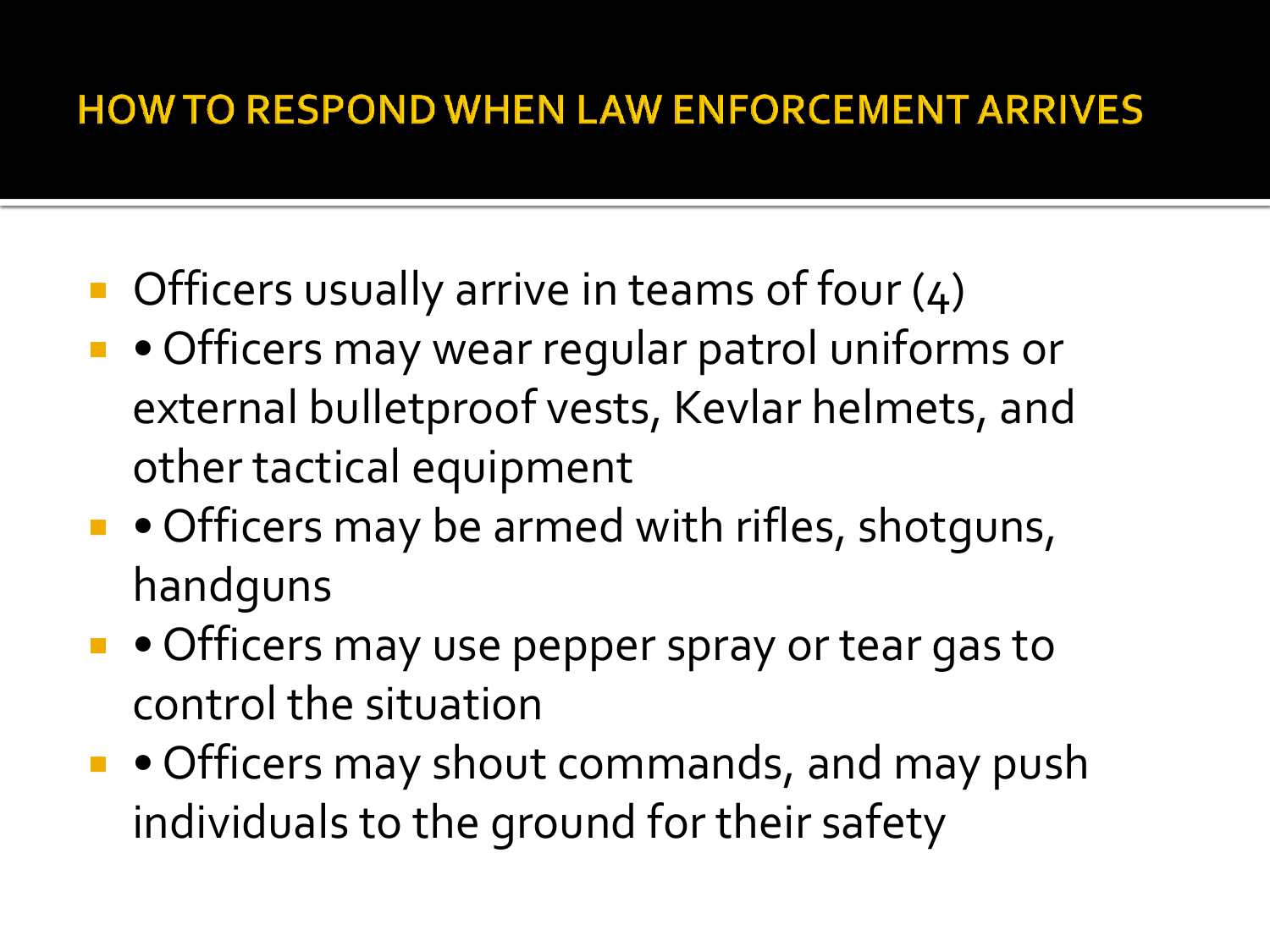#### **HOW TO RESPOND WHEN LAW ENFORCEMENT ARRIVES**

- $\blacksquare$  Officers usually arrive in teams of four (4)
- **Officers may wear regular patrol uniforms or** external bulletproof vests, Kevlar helmets, and other tactical equipment
- Officers may be armed with rifles, shotquns, handguns
- **Officers may use pepper spray or tear gas to** control the situation
- Officers may shout commands, and may push individuals to the ground for their safety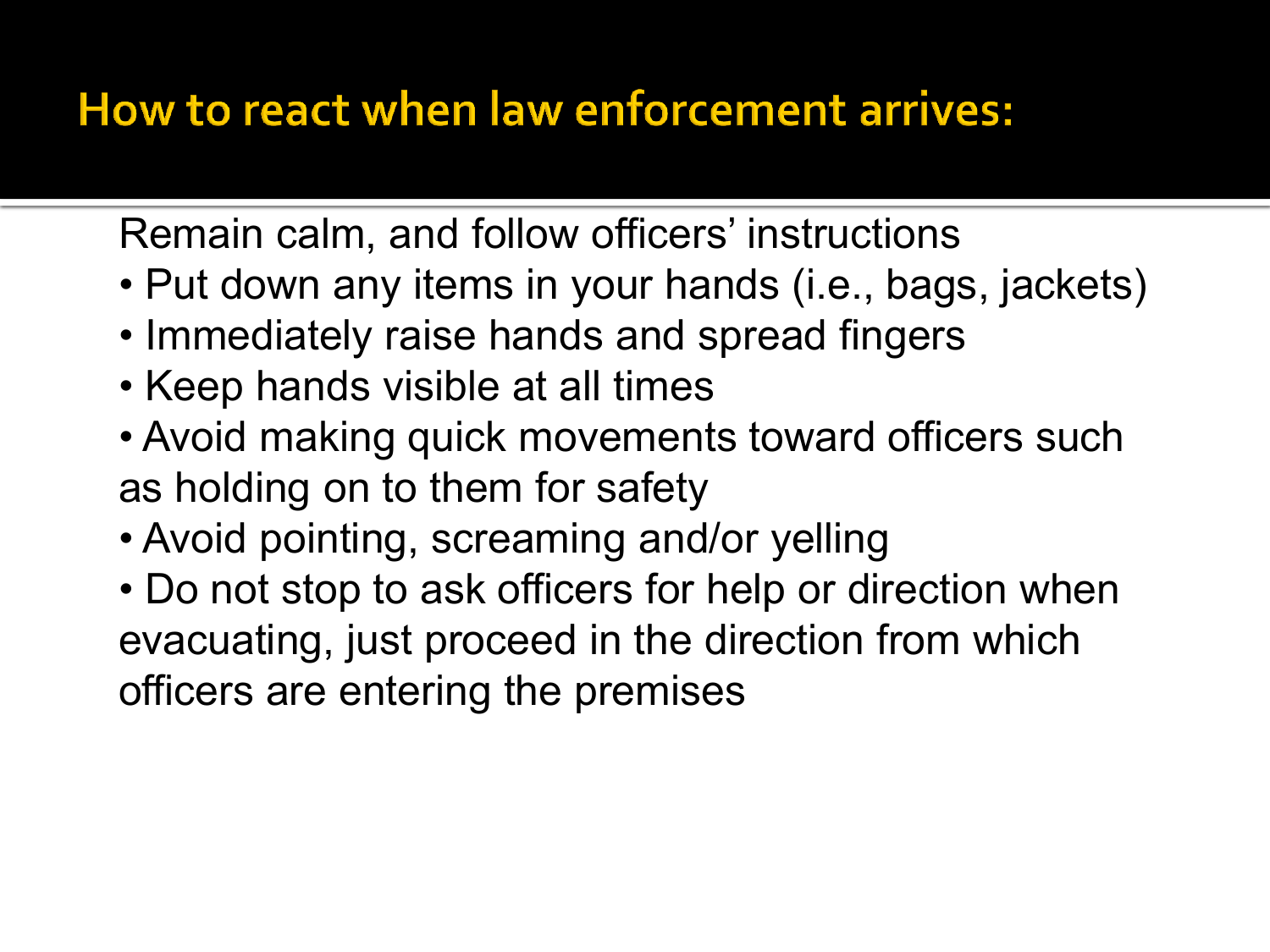### How to react when law enforcement arrives:

Remain calm, and follow officers' instructions

- Put down any items in your hands (i.e., bags, jackets)
- Immediately raise hands and spread fingers
- Keep hands visible at all times
- Avoid making quick movements toward officers such as holding on to them for safety
- Avoid pointing, screaming and/or yelling
- Do not stop to ask officers for help or direction when evacuating, just proceed in the direction from which officers are entering the premises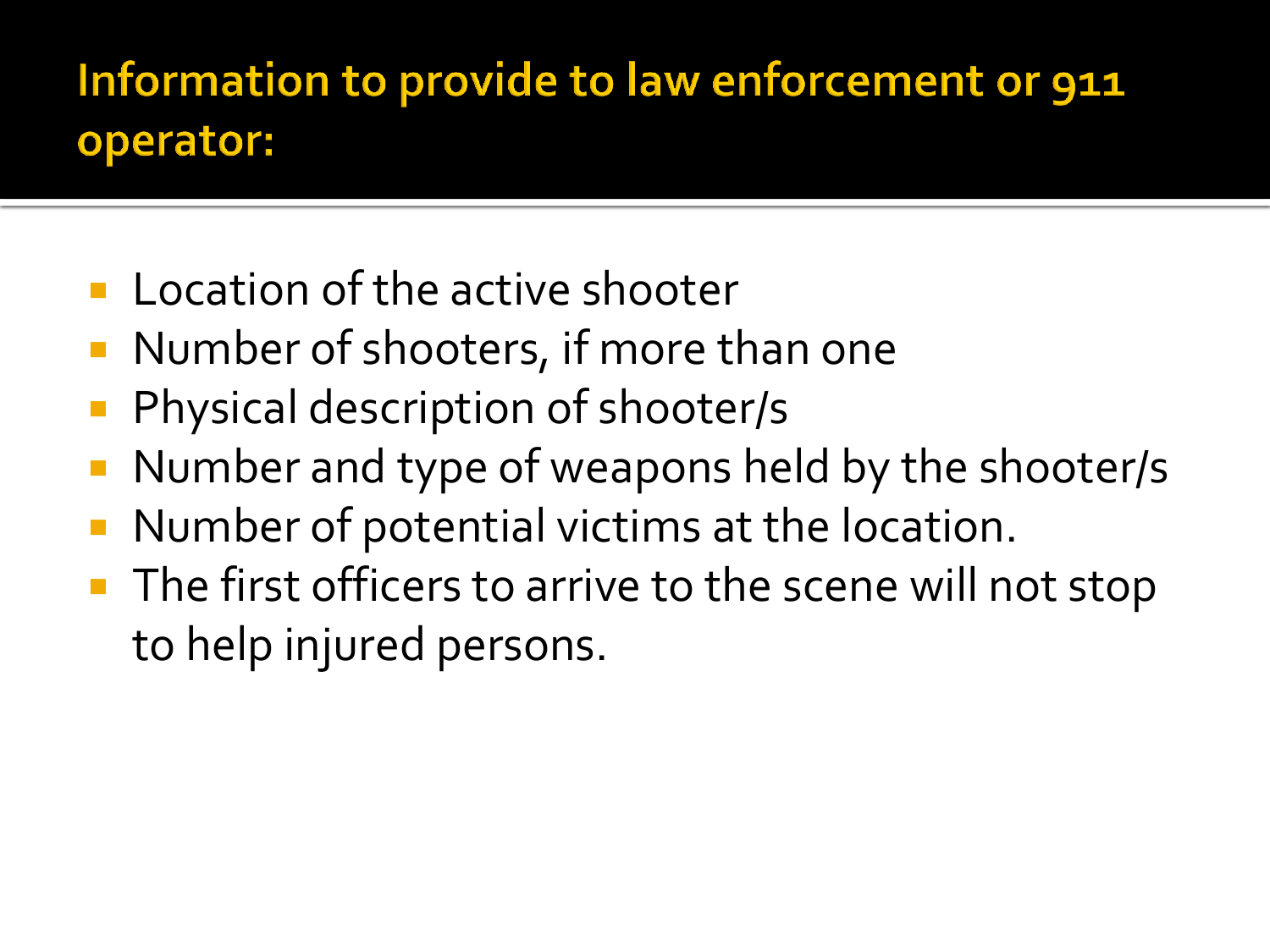### Information to provide to law enforcement or 911 operator:

- **Location of the active shooter**
- Number of shooters, if more than one
- Physical description of shooter/s
- Number and type of weapons held by the shooter/s
- **Number of potential victims at the location.**
- The first officers to arrive to the scene will not stop to help injured persons.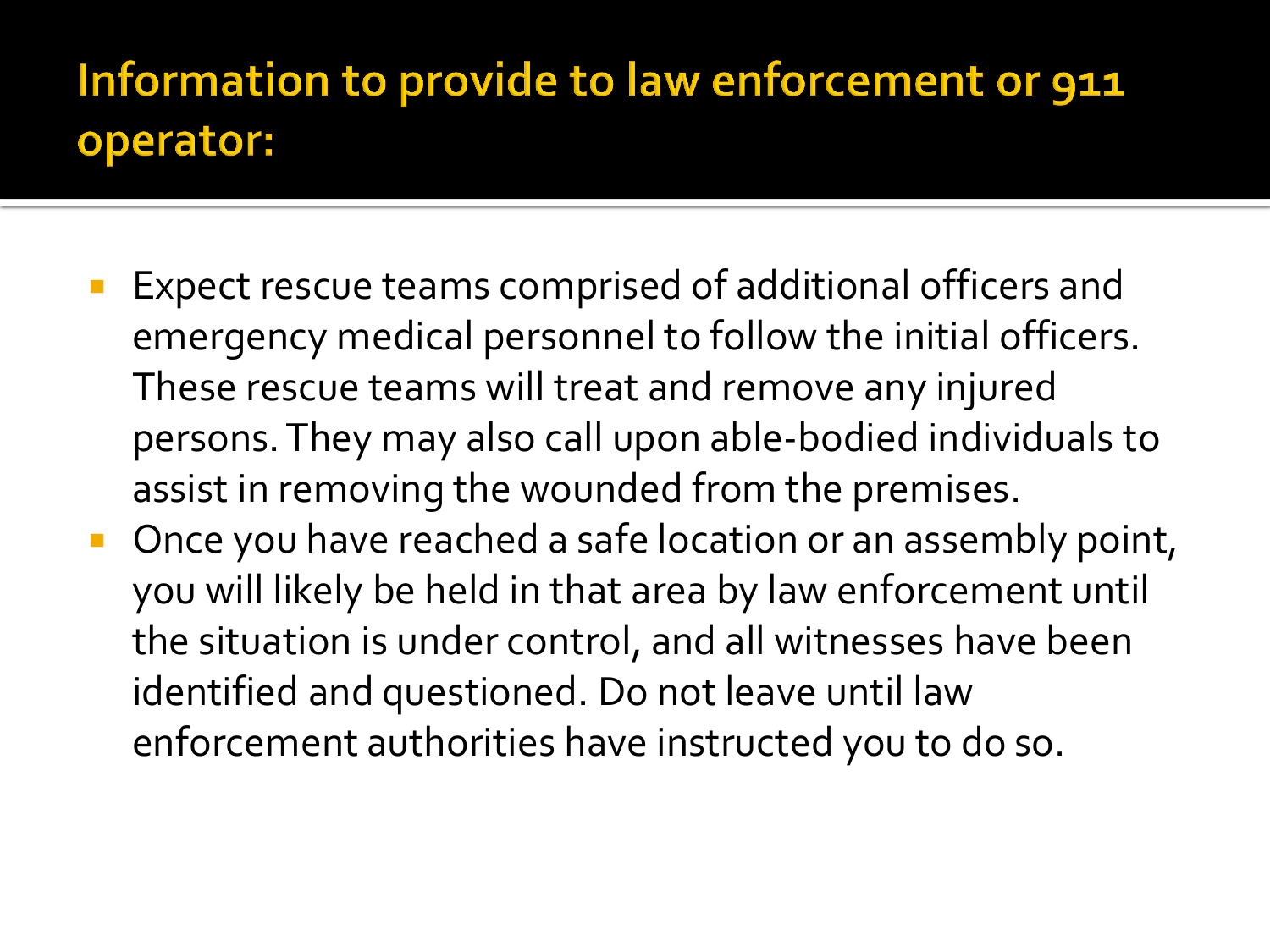### Information to provide to law enforcement or 911 operator:

- **Expect rescue teams comprised of additional officers and** emergency medical personnel to follow the initial officers. These rescue teams will treat and remove any injured persons. They may also call upon able-bodied individuals to assist in removing the wounded from the premises.
- Once you have reached a safe location or an assembly point, you will likely be held in that area by law enforcement until the situation is under control, and all witnesses have been identified and questioned. Do not leave until law enforcement authorities have instructed you to do so.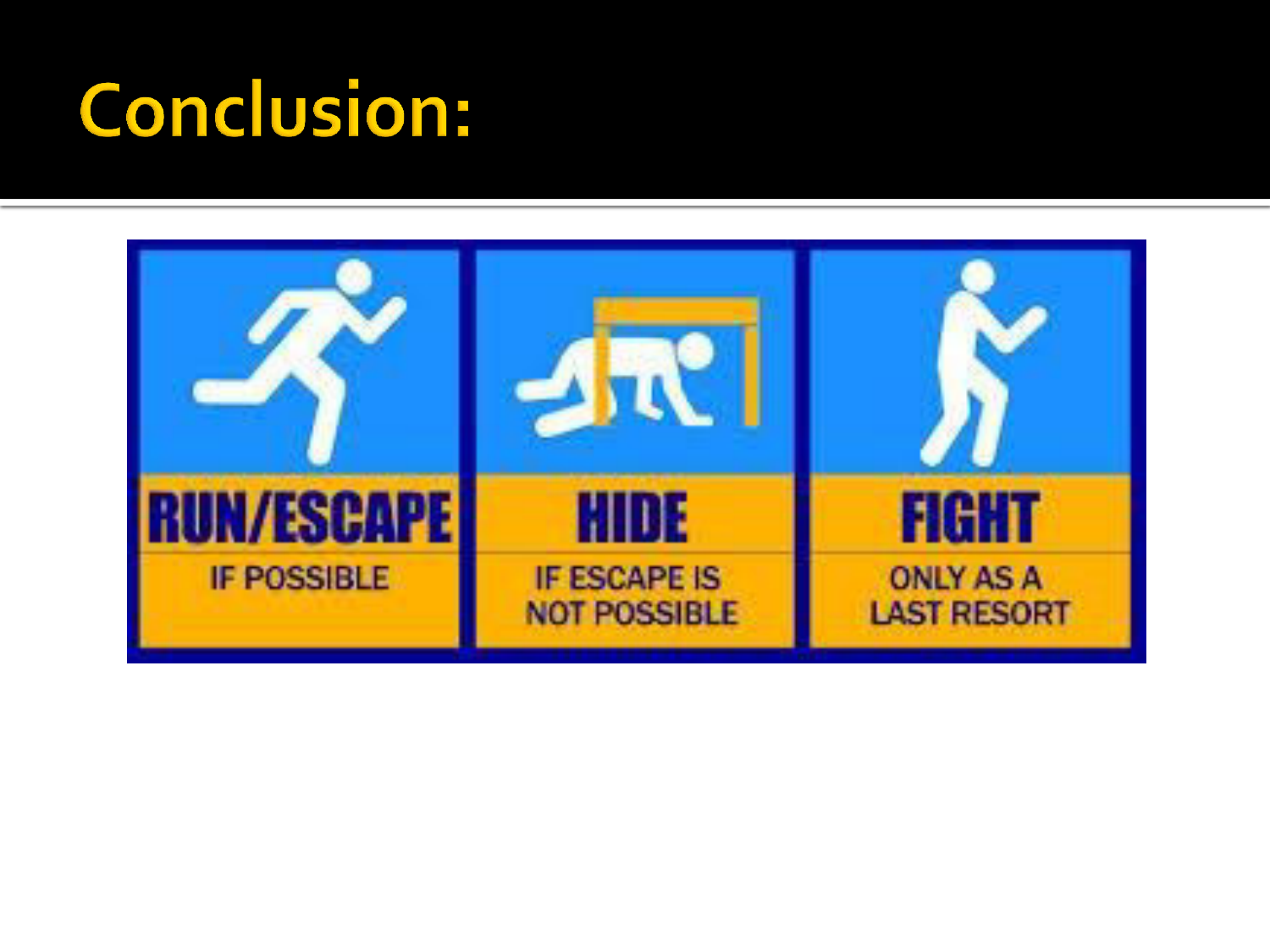# **Conclusion:**